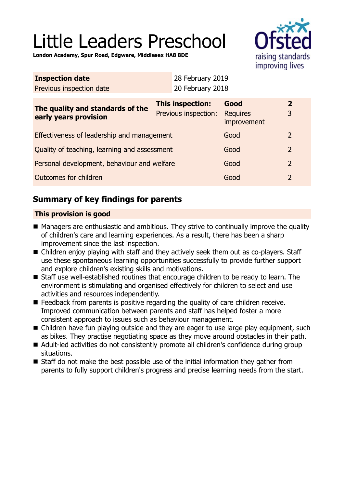# Little Leaders Preschool



**London Academy, Spur Road, Edgware, Middlesex HA8 8DE**

|                                              |  | Good<br><b>Requires</b><br>improvement   | $\overline{2}$<br>3                                                  |
|----------------------------------------------|--|------------------------------------------|----------------------------------------------------------------------|
| Effectiveness of leadership and management   |  |                                          | $\overline{2}$                                                       |
| Quality of teaching, learning and assessment |  |                                          | $\overline{2}$                                                       |
| Personal development, behaviour and welfare  |  |                                          | $\overline{2}$                                                       |
| Outcomes for children                        |  |                                          | $\overline{2}$                                                       |
|                                              |  | This inspection:<br>Previous inspection: | 28 February 2019<br>20 February 2018<br>Good<br>Good<br>Good<br>Good |

# **Summary of key findings for parents**

## **This provision is good**

- Managers are enthusiastic and ambitious. They strive to continually improve the quality of children's care and learning experiences. As a result, there has been a sharp improvement since the last inspection.
- Children enjoy playing with staff and they actively seek them out as co-players. Staff use these spontaneous learning opportunities successfully to provide further support and explore children's existing skills and motivations.
- Staff use well-established routines that encourage children to be ready to learn. The environment is stimulating and organised effectively for children to select and use activities and resources independently.
- $\blacksquare$  Feedback from parents is positive regarding the quality of care children receive. Improved communication between parents and staff has helped foster a more consistent approach to issues such as behaviour management.
- Children have fun playing outside and they are eager to use large play equipment, such as bikes. They practise negotiating space as they move around obstacles in their path.
- Adult-led activities do not consistently promote all children's confidence during group situations.
- $\blacksquare$  Staff do not make the best possible use of the initial information they gather from parents to fully support children's progress and precise learning needs from the start.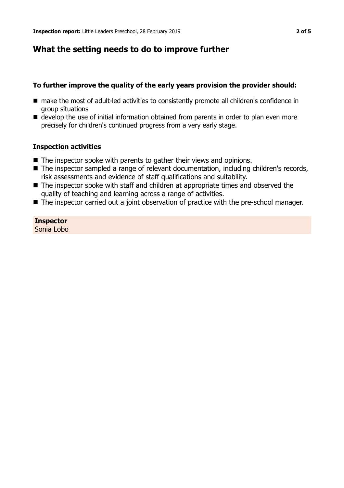## **What the setting needs to do to improve further**

## **To further improve the quality of the early years provision the provider should:**

- make the most of adult-led activities to consistently promote all children's confidence in group situations
- $\blacksquare$  develop the use of initial information obtained from parents in order to plan even more precisely for children's continued progress from a very early stage.

#### **Inspection activities**

- $\blacksquare$  The inspector spoke with parents to gather their views and opinions.
- The inspector sampled a range of relevant documentation, including children's records, risk assessments and evidence of staff qualifications and suitability.
- $\blacksquare$  The inspector spoke with staff and children at appropriate times and observed the quality of teaching and learning across a range of activities.
- The inspector carried out a joint observation of practice with the pre-school manager.

## **Inspector**

Sonia Lobo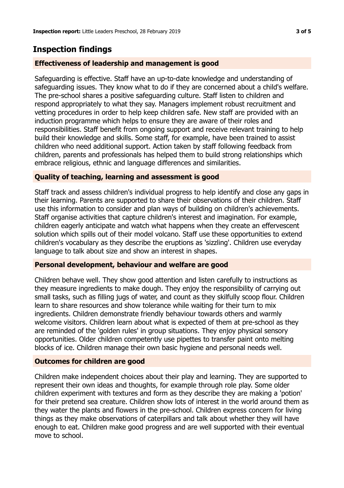# **Inspection findings**

## **Effectiveness of leadership and management is good**

Safeguarding is effective. Staff have an up-to-date knowledge and understanding of safeguarding issues. They know what to do if they are concerned about a child's welfare. The pre-school shares a positive safeguarding culture. Staff listen to children and respond appropriately to what they say. Managers implement robust recruitment and vetting procedures in order to help keep children safe. New staff are provided with an induction programme which helps to ensure they are aware of their roles and responsibilities. Staff benefit from ongoing support and receive relevant training to help build their knowledge and skills. Some staff, for example, have been trained to assist children who need additional support. Action taken by staff following feedback from children, parents and professionals has helped them to build strong relationships which embrace religious, ethnic and language differences and similarities.

## **Quality of teaching, learning and assessment is good**

Staff track and assess children's individual progress to help identify and close any gaps in their learning. Parents are supported to share their observations of their children. Staff use this information to consider and plan ways of building on children's achievements. Staff organise activities that capture children's interest and imagination. For example, children eagerly anticipate and watch what happens when they create an effervescent solution which spills out of their model volcano. Staff use these opportunities to extend children's vocabulary as they describe the eruptions as 'sizzling'. Children use everyday language to talk about size and show an interest in shapes.

## **Personal development, behaviour and welfare are good**

Children behave well. They show good attention and listen carefully to instructions as they measure ingredients to make dough. They enjoy the responsibility of carrying out small tasks, such as filling jugs of water, and count as they skilfully scoop flour. Children learn to share resources and show tolerance while waiting for their turn to mix ingredients. Children demonstrate friendly behaviour towards others and warmly welcome visitors. Children learn about what is expected of them at pre-school as they are reminded of the 'golden rules' in group situations. They enjoy physical sensory opportunities. Older children competently use pipettes to transfer paint onto melting blocks of ice. Children manage their own basic hygiene and personal needs well.

## **Outcomes for children are good**

Children make independent choices about their play and learning. They are supported to represent their own ideas and thoughts, for example through role play. Some older children experiment with textures and form as they describe they are making a 'potion' for their pretend sea creature. Children show lots of interest in the world around them as they water the plants and flowers in the pre-school. Children express concern for living things as they make observations of caterpillars and talk about whether they will have enough to eat. Children make good progress and are well supported with their eventual move to school.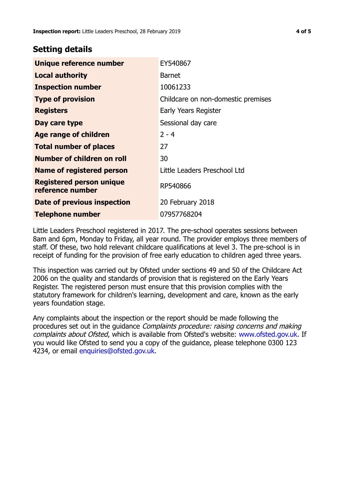## **Setting details**

| <b>Unique reference number</b>                      | EY540867                           |  |
|-----------------------------------------------------|------------------------------------|--|
| <b>Local authority</b>                              | <b>Barnet</b>                      |  |
| <b>Inspection number</b>                            | 10061233                           |  |
| <b>Type of provision</b>                            | Childcare on non-domestic premises |  |
| <b>Registers</b>                                    | Early Years Register               |  |
| Day care type                                       | Sessional day care                 |  |
| <b>Age range of children</b>                        | $2 - 4$                            |  |
| <b>Total number of places</b>                       | 27                                 |  |
| Number of children on roll                          | 30                                 |  |
| <b>Name of registered person</b>                    | Little Leaders Preschool Ltd       |  |
| <b>Registered person unique</b><br>reference number | RP540866                           |  |
| Date of previous inspection                         | 20 February 2018                   |  |
| <b>Telephone number</b>                             | 07957768204                        |  |

Little Leaders Preschool registered in 2017. The pre-school operates sessions between 8am and 6pm, Monday to Friday, all year round. The provider employs three members of staff. Of these, two hold relevant childcare qualifications at level 3. The pre-school is in receipt of funding for the provision of free early education to children aged three years.

This inspection was carried out by Ofsted under sections 49 and 50 of the Childcare Act 2006 on the quality and standards of provision that is registered on the Early Years Register. The registered person must ensure that this provision complies with the statutory framework for children's learning, development and care, known as the early years foundation stage.

Any complaints about the inspection or the report should be made following the procedures set out in the guidance Complaints procedure: raising concerns and making complaints about Ofsted, which is available from Ofsted's website: www.ofsted.gov.uk. If you would like Ofsted to send you a copy of the guidance, please telephone 0300 123 4234, or email [enquiries@ofsted.gov.uk.](mailto:enquiries@ofsted.gov.uk)